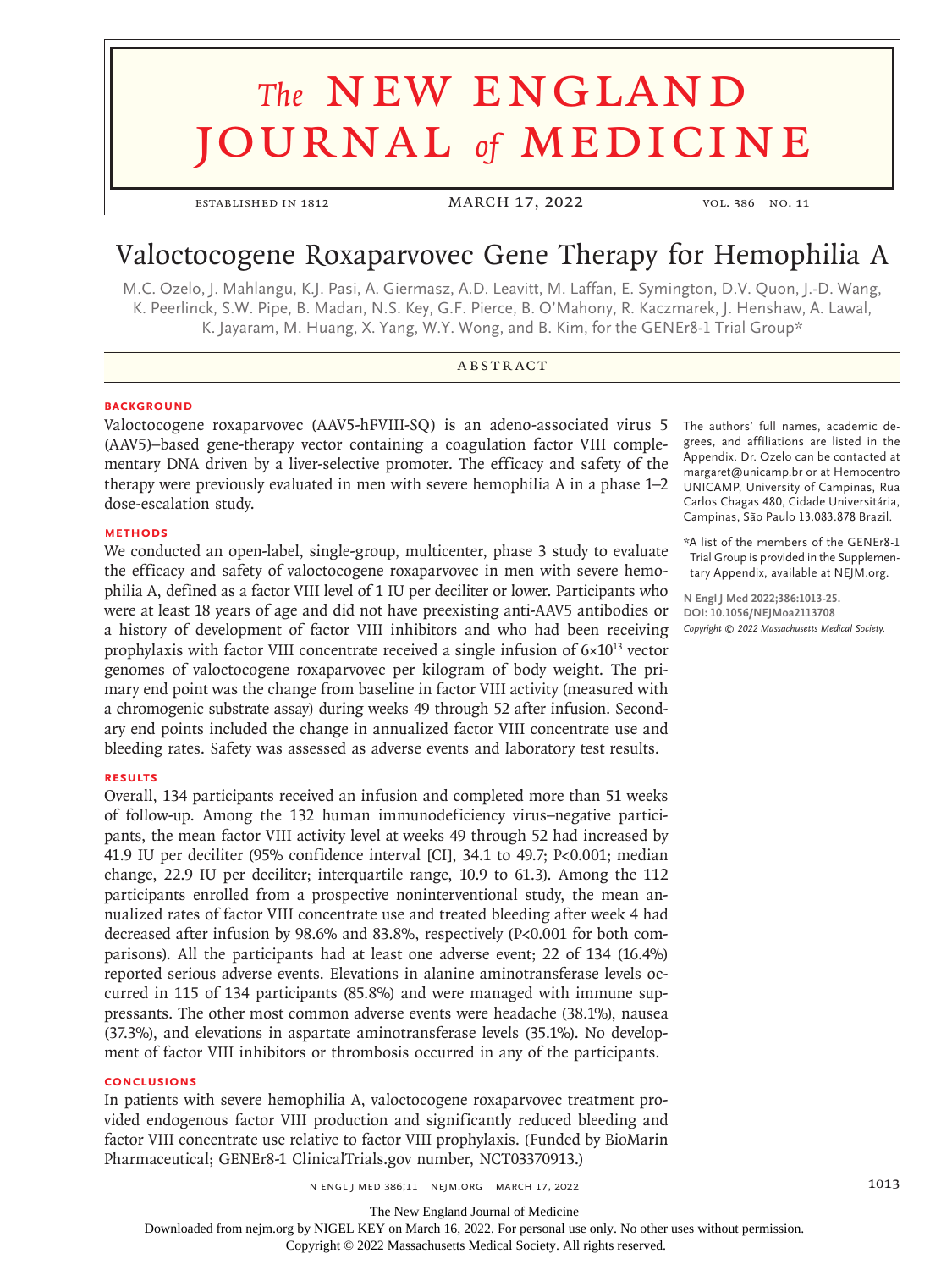# **The NEW ENGLAND** journal *of* medicine

established in 1812 March 17, 2022 vol. 386 no. 11

# Valoctocogene Roxaparvovec Gene Therapy for Hemophilia A

M.C. Ozelo, J. Mahlangu, K.J. Pasi, A. Giermasz, A.D. Leavitt, M. Laffan, E. Symington, D.V. Quon, J.-D. Wang, K. Peerlinck, S.W. Pipe, B. Madan, N.S. Key, G.F. Pierce, B. O'Mahony, R. Kaczmarek, J. Henshaw, A. Lawal, K. Jayaram, M. Huang, X. Yang, W.Y. Wong, and B. Kim, for the GENEr8-1 Trial Group\*

# **ABSTRACT**

# **BACKGROUND**

Valoctocogene roxaparvovec (AAV5-hFVIII-SQ) is an adeno-associated virus 5 (AAV5)–based gene-therapy vector containing a coagulation factor VIII complementary DNA driven by a liver-selective promoter. The efficacy and safety of the therapy were previously evaluated in men with severe hemophilia A in a phase 1–2 dose-escalation study.

#### **METHODS**

We conducted an open-label, single-group, multicenter, phase 3 study to evaluate the efficacy and safety of valoctocogene roxaparvovec in men with severe hemophilia A, defined as a factor VIII level of 1 IU per deciliter or lower. Participants who were at least 18 years of age and did not have preexisting anti-AAV5 antibodies or a history of development of factor VIII inhibitors and who had been receiving prophylaxis with factor VIII concentrate received a single infusion of  $6\times10^{13}$  vector genomes of valoctocogene roxaparvovec per kilogram of body weight. The primary end point was the change from baseline in factor VIII activity (measured with a chromogenic substrate assay) during weeks 49 through 52 after infusion. Secondary end points included the change in annualized factor VIII concentrate use and bleeding rates. Safety was assessed as adverse events and laboratory test results.

#### **RESULTS**

Overall, 134 participants received an infusion and completed more than 51 weeks of follow-up. Among the 132 human immunodeficiency virus–negative participants, the mean factor VIII activity level at weeks 49 through 52 had increased by 41.9 IU per deciliter (95% confidence interval [CI], 34.1 to 49.7; P<0.001; median change, 22.9 IU per deciliter; interquartile range, 10.9 to 61.3). Among the 112 participants enrolled from a prospective noninterventional study, the mean annualized rates of factor VIII concentrate use and treated bleeding after week 4 had decreased after infusion by 98.6% and 83.8%, respectively (P<0.001 for both comparisons). All the participants had at least one adverse event; 22 of 134 (16.4%) reported serious adverse events. Elevations in alanine aminotransferase levels occurred in 115 of 134 participants (85.8%) and were managed with immune suppressants. The other most common adverse events were headache (38.1%), nausea (37.3%), and elevations in aspartate aminotransferase levels (35.1%). No development of factor VIII inhibitors or thrombosis occurred in any of the participants.

#### **CONCLUSIONS**

In patients with severe hemophilia A, valoctocogene roxaparvovec treatment provided endogenous factor VIII production and significantly reduced bleeding and factor VIII concentrate use relative to factor VIII prophylaxis. (Funded by BioMarin Pharmaceutical; GENEr8-1 ClinicalTrials.gov number, NCT03370913.)

The authors' full names, academic degrees, and affiliations are listed in the Appendix. Dr. Ozelo can be contacted at margaret@unicamp.br or at Hemocentro UNICAMP, University of Campinas, Rua Carlos Chagas 480, Cidade Universitária, Campinas, São Paulo 13.083.878 Brazil.

\*A list of the members of the GENEr8-1 Trial Group is provided in the Supplementary Appendix, available at NEJM.org.

**N Engl J Med 2022;386:1013-25. DOI: 10.1056/NEJMoa2113708** *Copyright © 2022 Massachusetts Medical Society.*

n engl j med 386;11 nejm.org March 17, 2022 1013

The New England Journal of Medicine

Downloaded from nejm.org by NIGEL KEY on March 16, 2022. For personal use only. No other uses without permission.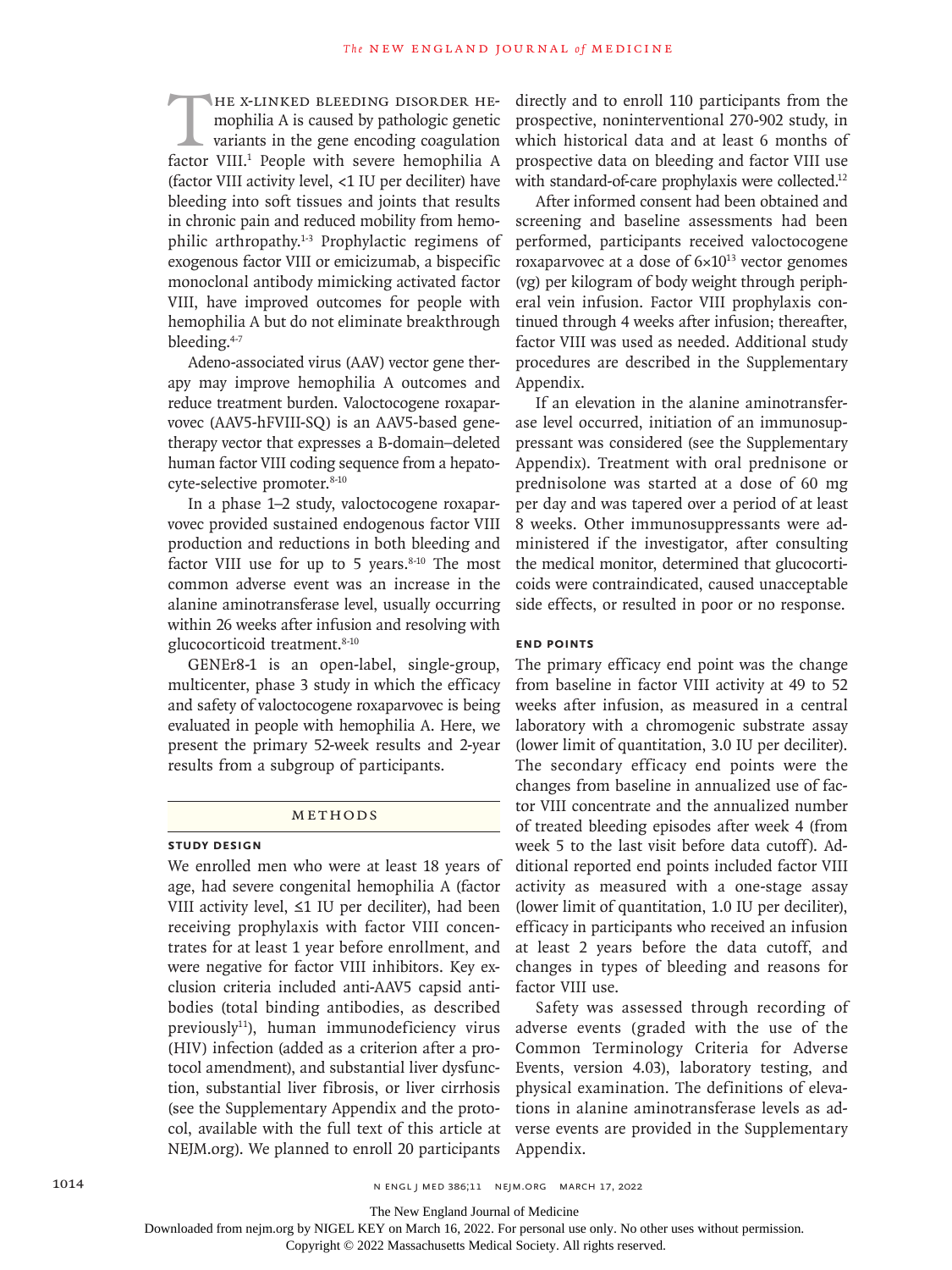HE X-LINKED BLEEDING DISORDER HE-<br>mophilia A is caused by pathologic genetic<br>variants in the gene encoding coagulation<br>factor VIII.<sup>1</sup> People with severe hemophilia A mophilia A is caused by pathologic genetic variants in the gene encoding coagulation factor VIII.<sup>1</sup> People with severe hemophilia A (factor VIII activity level, <1 IU per deciliter) have bleeding into soft tissues and joints that results in chronic pain and reduced mobility from hemophilic arthropathy.1-3 Prophylactic regimens of exogenous factor VIII or emicizumab, a bispecific monoclonal antibody mimicking activated factor VIII, have improved outcomes for people with hemophilia A but do not eliminate breakthrough bleeding.4-7

Adeno-associated virus (AAV) vector gene therapy may improve hemophilia A outcomes and reduce treatment burden. Valoctocogene roxaparvovec (AAV5-hFVIII-SQ) is an AAV5-based genetherapy vector that expresses a B-domain–deleted human factor VIII coding sequence from a hepatocyte-selective promoter.<sup>8-10</sup>

In a phase 1–2 study, valoctocogene roxaparvovec provided sustained endogenous factor VIII production and reductions in both bleeding and factor VIII use for up to 5 years. $8-10$  The most common adverse event was an increase in the alanine aminotransferase level, usually occurring within 26 weeks after infusion and resolving with glucocorticoid treatment.8-10

GENEr8-1 is an open-label, single-group, multicenter, phase 3 study in which the efficacy and safety of valoctocogene roxaparvovec is being evaluated in people with hemophilia A. Here, we present the primary 52-week results and 2-year results from a subgroup of participants.

#### Methods

# **Study Design**

We enrolled men who were at least 18 years of age, had severe congenital hemophilia A (factor VIII activity level, ≤1 IU per deciliter), had been receiving prophylaxis with factor VIII concentrates for at least 1 year before enrollment, and were negative for factor VIII inhibitors. Key exclusion criteria included anti-AAV5 capsid antibodies (total binding antibodies, as described  $previously<sup>11</sup>$ , human immunodeficiency virus (HIV) infection (added as a criterion after a protocol amendment), and substantial liver dysfunction, substantial liver fibrosis, or liver cirrhosis (see the Supplementary Appendix and the protocol, available with the full text of this article at NEJM.org). We planned to enroll 20 participants

directly and to enroll 110 participants from the prospective, noninterventional 270-902 study, in which historical data and at least 6 months of prospective data on bleeding and factor VIII use with standard-of-care prophylaxis were collected.<sup>12</sup>

After informed consent had been obtained and screening and baseline assessments had been performed, participants received valoctocogene roxaparvovec at a dose of  $6\times10^{13}$  vector genomes (vg) per kilogram of body weight through peripheral vein infusion. Factor VIII prophylaxis continued through 4 weeks after infusion; thereafter, factor VIII was used as needed. Additional study procedures are described in the Supplementary Appendix.

If an elevation in the alanine aminotransferase level occurred, initiation of an immunosuppressant was considered (see the Supplementary Appendix). Treatment with oral prednisone or prednisolone was started at a dose of 60 mg per day and was tapered over a period of at least 8 weeks. Other immunosuppressants were administered if the investigator, after consulting the medical monitor, determined that glucocorticoids were contraindicated, caused unacceptable side effects, or resulted in poor or no response.

#### **End Points**

The primary efficacy end point was the change from baseline in factor VIII activity at 49 to 52 weeks after infusion, as measured in a central laboratory with a chromogenic substrate assay (lower limit of quantitation, 3.0 IU per deciliter). The secondary efficacy end points were the changes from baseline in annualized use of factor VIII concentrate and the annualized number of treated bleeding episodes after week 4 (from week 5 to the last visit before data cutoff). Additional reported end points included factor VIII activity as measured with a one-stage assay (lower limit of quantitation, 1.0 IU per deciliter), efficacy in participants who received an infusion at least 2 years before the data cutoff, and changes in types of bleeding and reasons for factor VIII use.

Safety was assessed through recording of adverse events (graded with the use of the Common Terminology Criteria for Adverse Events, version 4.03), laboratory testing, and physical examination. The definitions of elevations in alanine aminotransferase levels as adverse events are provided in the Supplementary Appendix.

The New England Journal of Medicine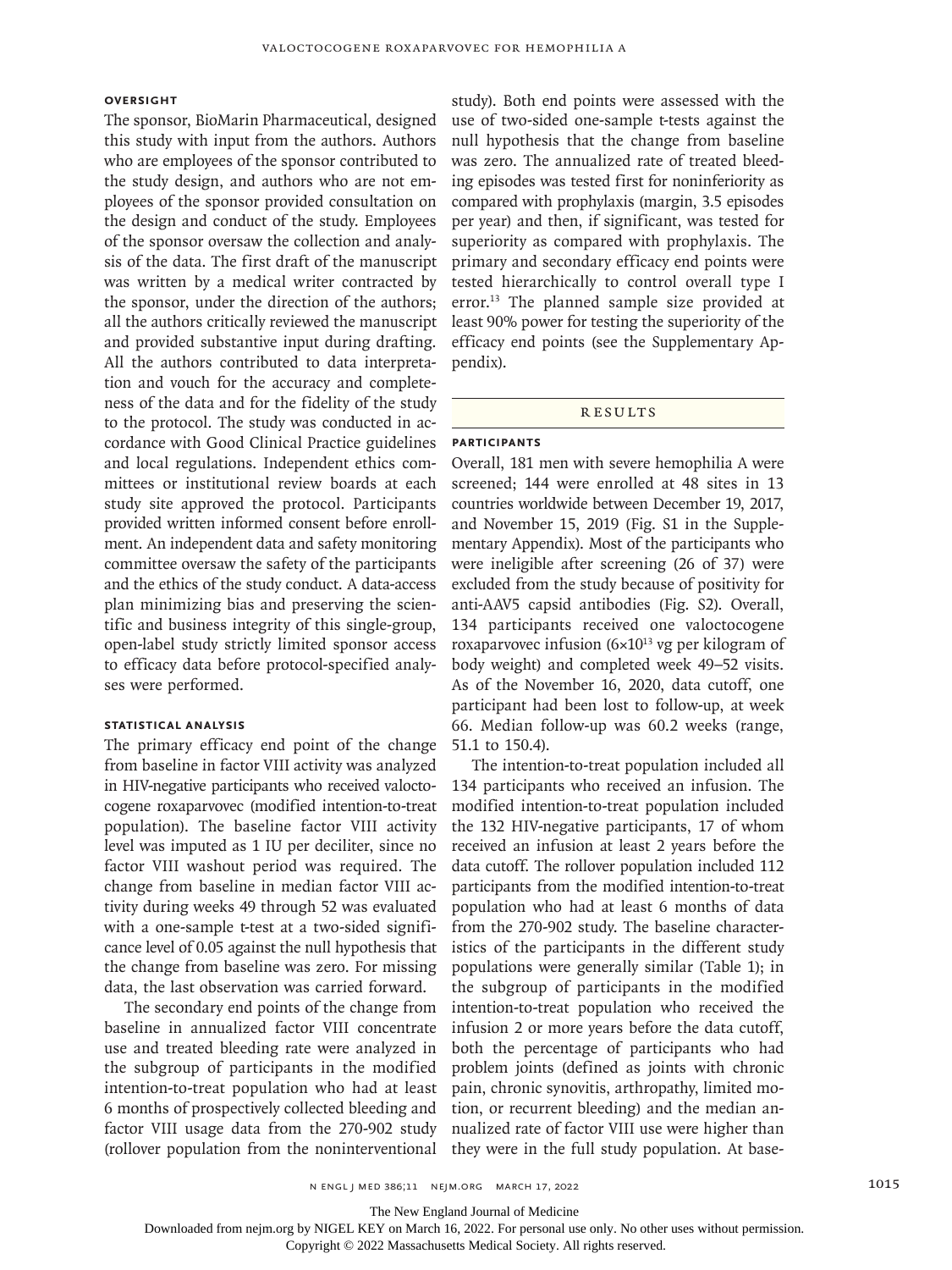# **Oversight**

The sponsor, BioMarin Pharmaceutical, designed this study with input from the authors. Authors who are employees of the sponsor contributed to the study design, and authors who are not employees of the sponsor provided consultation on the design and conduct of the study. Employees of the sponsor oversaw the collection and analysis of the data. The first draft of the manuscript was written by a medical writer contracted by the sponsor, under the direction of the authors; all the authors critically reviewed the manuscript and provided substantive input during drafting. All the authors contributed to data interpretation and vouch for the accuracy and completeness of the data and for the fidelity of the study to the protocol. The study was conducted in accordance with Good Clinical Practice guidelines and local regulations. Independent ethics committees or institutional review boards at each study site approved the protocol. Participants provided written informed consent before enrollment. An independent data and safety monitoring committee oversaw the safety of the participants and the ethics of the study conduct. A data-access plan minimizing bias and preserving the scientific and business integrity of this single-group, open-label study strictly limited sponsor access to efficacy data before protocol-specified analyses were performed.

# **Statistical Analysis**

The primary efficacy end point of the change from baseline in factor VIII activity was analyzed in HIV-negative participants who received valoctocogene roxaparvovec (modified intention-to-treat population). The baseline factor VIII activity level was imputed as 1 IU per deciliter, since no factor VIII washout period was required. The change from baseline in median factor VIII activity during weeks 49 through 52 was evaluated with a one-sample t-test at a two-sided significance level of 0.05 against the null hypothesis that the change from baseline was zero. For missing data, the last observation was carried forward.

The secondary end points of the change from baseline in annualized factor VIII concentrate use and treated bleeding rate were analyzed in the subgroup of participants in the modified intention-to-treat population who had at least 6 months of prospectively collected bleeding and factor VIII usage data from the 270-902 study (rollover population from the noninterventional study). Both end points were assessed with the use of two-sided one-sample t-tests against the null hypothesis that the change from baseline was zero. The annualized rate of treated bleeding episodes was tested first for noninferiority as compared with prophylaxis (margin, 3.5 episodes per year) and then, if significant, was tested for superiority as compared with prophylaxis. The primary and secondary efficacy end points were tested hierarchically to control overall type I error.<sup>13</sup> The planned sample size provided at least 90% power for testing the superiority of the efficacy end points (see the Supplementary Appendix).

#### **RESULTS**

# **Participants**

Overall, 181 men with severe hemophilia A were screened; 144 were enrolled at 48 sites in 13 countries worldwide between December 19, 2017, and November 15, 2019 (Fig. S1 in the Supplementary Appendix). Most of the participants who were ineligible after screening (26 of 37) were excluded from the study because of positivity for anti-AAV5 capsid antibodies (Fig. S2). Overall, 134 participants received one valoctocogene roxaparvovec infusion  $(6\times10^{13} \text{ v}g$  per kilogram of body weight) and completed week 49–52 visits. As of the November 16, 2020, data cutoff, one participant had been lost to follow-up, at week 66. Median follow-up was 60.2 weeks (range, 51.1 to 150.4).

The intention-to-treat population included all 134 participants who received an infusion. The modified intention-to-treat population included the 132 HIV-negative participants, 17 of whom received an infusion at least 2 years before the data cutoff. The rollover population included 112 participants from the modified intention-to-treat population who had at least 6 months of data from the 270-902 study. The baseline characteristics of the participants in the different study populations were generally similar (Table 1); in the subgroup of participants in the modified intention-to-treat population who received the infusion 2 or more years before the data cutoff, both the percentage of participants who had problem joints (defined as joints with chronic pain, chronic synovitis, arthropathy, limited motion, or recurrent bleeding) and the median annualized rate of factor VIII use were higher than they were in the full study population. At base-

The New England Journal of Medicine

Downloaded from nejm.org by NIGEL KEY on March 16, 2022. For personal use only. No other uses without permission.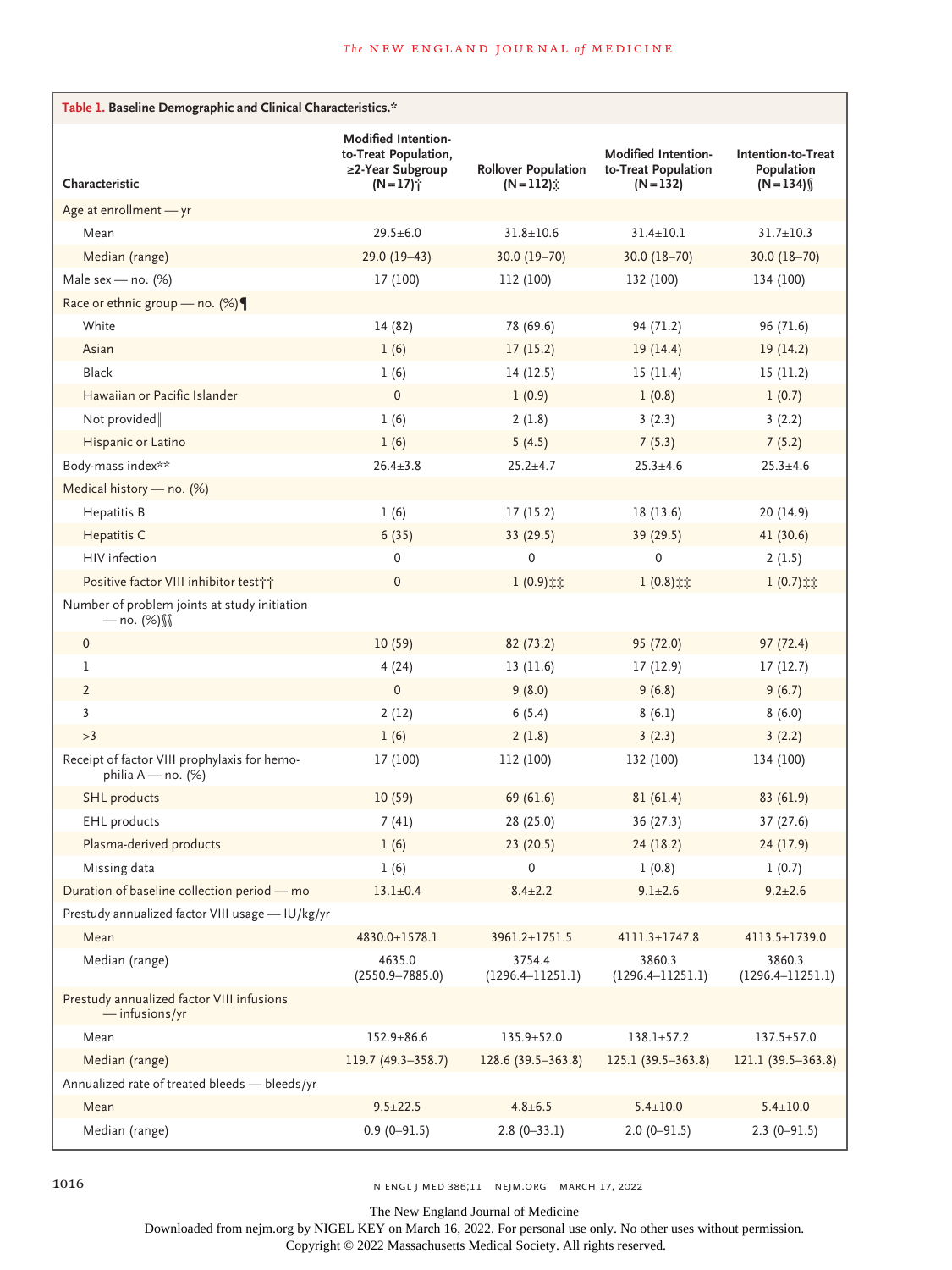| Table 1. Baseline Demographic and Clinical Characteristics.*           |                                                                                                 |                                           |                                                                |                                                 |  |
|------------------------------------------------------------------------|-------------------------------------------------------------------------------------------------|-------------------------------------------|----------------------------------------------------------------|-------------------------------------------------|--|
| Characteristic                                                         | <b>Modified Intention-</b><br>to-Treat Population,<br>≥2-Year Subgroup<br>$(N=17)$ <sup>*</sup> | <b>Rollover Population</b><br>$(N = 112)$ | <b>Modified Intention-</b><br>to-Treat Population<br>$(N=132)$ | Intention-to-Treat<br>Population<br>$(N = 134)$ |  |
| Age at enrollment - yr                                                 |                                                                                                 |                                           |                                                                |                                                 |  |
| Mean                                                                   | $29.5 \pm 6.0$                                                                                  | $31.8 \pm 10.6$                           | $31.4 \pm 10.1$                                                | $31.7 \pm 10.3$                                 |  |
| Median (range)                                                         | $29.0(19-43)$                                                                                   | $30.0(19-70)$                             | $30.0(18-70)$                                                  | $30.0(18-70)$                                   |  |
| Male sex - no. (%)                                                     | 17 (100)                                                                                        | 112 (100)                                 | 132 (100)                                                      | 134 (100)                                       |  |
| Race or ethnic group - no. (%)                                         |                                                                                                 |                                           |                                                                |                                                 |  |
| White                                                                  | 14 (82)                                                                                         | 78 (69.6)                                 | 94 (71.2)                                                      | 96 (71.6)                                       |  |
| Asian                                                                  | 1(6)                                                                                            | 17(15.2)                                  | 19(14.4)                                                       | 19 (14.2)                                       |  |
| <b>Black</b>                                                           | 1(6)                                                                                            | 14(12.5)                                  | 15(11.4)                                                       | 15 (11.2)                                       |  |
| Hawaiian or Pacific Islander                                           | $\mathbf{0}$                                                                                    | 1(0.9)                                    | 1(0.8)                                                         | 1(0.7)                                          |  |
| Not provided                                                           | 1(6)                                                                                            | 2(1.8)                                    | 3(2.3)                                                         | 3(2.2)                                          |  |
| Hispanic or Latino                                                     | 1(6)                                                                                            | 5(4.5)                                    | 7(5.3)                                                         | 7(5.2)                                          |  |
| Body-mass index**                                                      | $26.4 \pm 3.8$                                                                                  | $25.2 + 4.7$                              | $25.3 \pm 4.6$                                                 | $25.3 + 4.6$                                    |  |
| Medical history - no. (%)                                              |                                                                                                 |                                           |                                                                |                                                 |  |
| Hepatitis B                                                            | 1(6)                                                                                            | 17(15.2)                                  | 18 (13.6)                                                      | 20 (14.9)                                       |  |
| Hepatitis C                                                            | 6(35)                                                                                           | 33 (29.5)                                 | 39 (29.5)                                                      | 41 (30.6)                                       |  |
| HIV infection                                                          | $\mathbf 0$                                                                                     | 0                                         | $\pmb{0}$                                                      | 2(1.5)                                          |  |
| Positive factor VIII inhibitor test <sup>++</sup>                      | $\mathbf 0$                                                                                     | $1(0.9)$ $*$                              | $1(0.8)$ $**$                                                  | $1(0.7)$ **                                     |  |
| Number of problem joints at study initiation<br>— no. $(\%)$           |                                                                                                 |                                           |                                                                |                                                 |  |
| $\mathbf 0$                                                            | 10(59)                                                                                          | 82 (73.2)                                 | 95 (72.0)                                                      | 97 (72.4)                                       |  |
| 1                                                                      | 4(24)                                                                                           | 13 (11.6)                                 | 17(12.9)                                                       | 17(12.7)                                        |  |
| $\overline{2}$                                                         | $\mathbf{0}$                                                                                    | 9(8.0)                                    | 9(6.8)                                                         | 9(6.7)                                          |  |
| 3                                                                      | 2(12)                                                                                           | 6(5.4)                                    | 8(6.1)                                                         | 8(6.0)                                          |  |
| >3                                                                     | 1(6)                                                                                            | 2(1.8)                                    | 3(2.3)                                                         | 3(2.2)                                          |  |
| Receipt of factor VIII prophylaxis for hemo-<br>philia $A$ — no. $(%)$ | 17 (100)                                                                                        | 112 (100)                                 | 132 (100)                                                      | 134 (100)                                       |  |
| SHL products                                                           | 10(59)                                                                                          | 69 (61.6)                                 | 81(61.4)                                                       | 83 (61.9)                                       |  |
| <b>EHL</b> products                                                    | 7(41)                                                                                           | 28 (25.0)                                 | 36(27.3)                                                       | 37 (27.6)                                       |  |
| Plasma-derived products                                                | 1(6)                                                                                            | 23(20.5)                                  | 24(18.2)                                                       | 24 (17.9)                                       |  |
| Missing data                                                           | 1(6)                                                                                            | 0                                         | 1(0.8)                                                         | 1(0.7)                                          |  |
| Duration of baseline collection period - mo                            | $13.1 \pm 0.4$                                                                                  | $8.4 \pm 2.2$                             | $9.1 \pm 2.6$                                                  | $9.2 \pm 2.6$                                   |  |
| Prestudy annualized factor VIII usage - IU/kg/yr                       |                                                                                                 |                                           |                                                                |                                                 |  |
| Mean                                                                   | 4830.0±1578.1                                                                                   | 3961.2±1751.5                             | $4111.3 \pm 1747.8$                                            | 4113.5±1739.0                                   |  |
| Median (range)                                                         | 4635.0<br>$(2550.9 - 7885.0)$                                                                   | 3754.4<br>$(1296.4 - 11251.1)$            | 3860.3<br>$(1296.4 - 11251.1)$                                 | 3860.3<br>$(1296.4 - 11251.1)$                  |  |
| Prestudy annualized factor VIII infusions<br>— infusions/yr            |                                                                                                 |                                           |                                                                |                                                 |  |
| Mean                                                                   | $152.9 + 86.6$                                                                                  | $135.9 \pm 52.0$                          | $138.1 \pm 57.2$                                               | $137.5 + 57.0$                                  |  |
| Median (range)                                                         | 119.7 (49.3-358.7)                                                                              | 128.6 (39.5 - 363.8)                      | 125.1 (39.5-363.8)                                             | 121.1 (39.5-363.8)                              |  |
| Annualized rate of treated bleeds - bleeds/yr                          |                                                                                                 |                                           |                                                                |                                                 |  |
| Mean                                                                   | $9.5 \pm 22.5$                                                                                  | $4.8 \pm 6.5$                             | $5.4 \pm 10.0$                                                 | $5.4 \pm 10.0$                                  |  |
| Median (range)                                                         | $0.9(0 - 91.5)$                                                                                 | $2.8(0-33.1)$                             | $2.0(0-91.5)$                                                  | $2.3(0-91.5)$                                   |  |

1016 **n** ENGL J MED 386;11 NEJM.ORG MARCH 17, 2022

The New England Journal of Medicine

Downloaded from nejm.org by NIGEL KEY on March 16, 2022. For personal use only. No other uses without permission.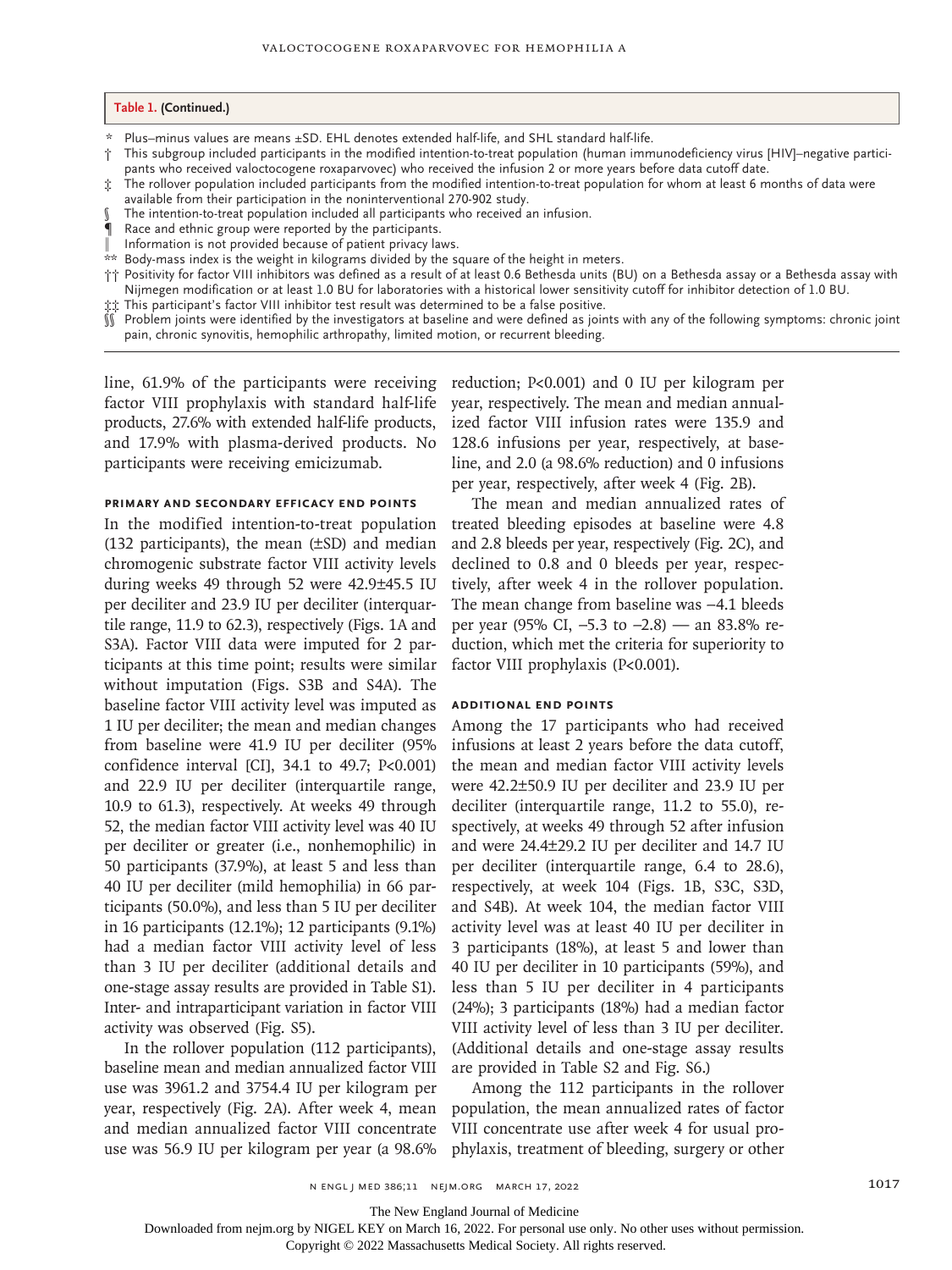#### **Table 1. (Continued.)**

- \* Plus–minus values are means ±SD. EHL denotes extended half-life, and SHL standard half-life.
- † This subgroup included participants in the modified intention-to-treat population (human immunodeficiency virus [HIV]–negative participants who received valoctocogene roxaparvovec) who received the infusion 2 or more years before data cutoff date.
- ‡ The rollover population included participants from the modified intention-to-treat population for whom at least 6 months of data were available from their participation in the noninterventional 270-902 study.
- The intention-to-treat population included all participants who received an infusion.
- Race and ethnic group were reported by the participants.
- Information is not provided because of patient privacy laws.
- \*\* Body-mass index is the weight in kilograms divided by the square of the height in meters.
- †† Positivity for factor VIII inhibitors was defined as a result of at least 0.6 Bethesda units (BU) on a Bethesda assay or a Bethesda assay with Nijmegen modification or at least 1.0 BU for laboratories with a historical lower sensitivity cutoff for inhibitor detection of 1.0 BU. ‡‡ This participant's factor VIII inhibitor test result was determined to be a false positive.
- 
- Problem joints were identified by the investigators at baseline and were defined as joints with any of the following symptoms: chronic joint pain, chronic synovitis, hemophilic arthropathy, limited motion, or recurrent bleeding.

factor VIII prophylaxis with standard half-life year, respectively. The mean and median annualproducts, 27.6% with extended half-life products, and 17.9% with plasma-derived products. No 128.6 infusions per year, respectively, at baseparticipants were receiving emicizumab.

# **Primary and Secondary Efficacy End Points**

In the modified intention-to-treat population (132 participants), the mean (±SD) and median chromogenic substrate factor VIII activity levels during weeks 49 through 52 were 42.9±45.5 IU per deciliter and 23.9 IU per deciliter (interquartile range, 11.9 to 62.3), respectively (Figs. 1A and S3A). Factor VIII data were imputed for 2 participants at this time point; results were similar without imputation (Figs. S3B and S4A). The baseline factor VIII activity level was imputed as 1 IU per deciliter; the mean and median changes from baseline were 41.9 IU per deciliter (95% confidence interval [CI], 34.1 to 49.7; P<0.001) and 22.9 IU per deciliter (interquartile range, 10.9 to 61.3), respectively. At weeks 49 through 52, the median factor VIII activity level was 40 IU per deciliter or greater (i.e., nonhemophilic) in 50 participants (37.9%), at least 5 and less than 40 IU per deciliter (mild hemophilia) in 66 participants (50.0%), and less than 5 IU per deciliter in 16 participants (12.1%); 12 participants (9.1%) had a median factor VIII activity level of less than 3 IU per deciliter (additional details and one-stage assay results are provided in Table S1). Inter- and intraparticipant variation in factor VIII activity was observed (Fig. S5).

In the rollover population (112 participants), baseline mean and median annualized factor VIII use was 3961.2 and 3754.4 IU per kilogram per year, respectively (Fig. 2A). After week 4, mean and median annualized factor VIII concentrate use was 56.9 IU per kilogram per year (a 98.6%

line, 61.9% of the participants were receiving reduction; P<0.001) and 0 IU per kilogram per ized factor VIII infusion rates were 135.9 and line, and 2.0 (a 98.6% reduction) and 0 infusions per year, respectively, after week 4 (Fig. 2B).

> The mean and median annualized rates of treated bleeding episodes at baseline were 4.8 and 2.8 bleeds per year, respectively (Fig. 2C), and declined to 0.8 and 0 bleeds per year, respectively, after week 4 in the rollover population. The mean change from baseline was −4.1 bleeds per year (95% CI, −5.3 to −2.8) — an 83.8% reduction, which met the criteria for superiority to factor VIII prophylaxis (P<0.001).

#### **Additional End Points**

Among the 17 participants who had received infusions at least 2 years before the data cutoff, the mean and median factor VIII activity levels were 42.2±50.9 IU per deciliter and 23.9 IU per deciliter (interquartile range, 11.2 to 55.0), respectively, at weeks 49 through 52 after infusion and were 24.4±29.2 IU per deciliter and 14.7 IU per deciliter (interquartile range, 6.4 to 28.6), respectively, at week 104 (Figs. 1B, S3C, S3D, and S4B). At week 104, the median factor VIII activity level was at least 40 IU per deciliter in 3 participants (18%), at least 5 and lower than 40 IU per deciliter in 10 participants (59%), and less than 5 IU per deciliter in 4 participants (24%); 3 participants (18%) had a median factor VIII activity level of less than 3 IU per deciliter. (Additional details and one-stage assay results are provided in Table S2 and Fig. S6.)

Among the 112 participants in the rollover population, the mean annualized rates of factor VIII concentrate use after week 4 for usual prophylaxis, treatment of bleeding, surgery or other

The New England Journal of Medicine

Downloaded from nejm.org by NIGEL KEY on March 16, 2022. For personal use only. No other uses without permission.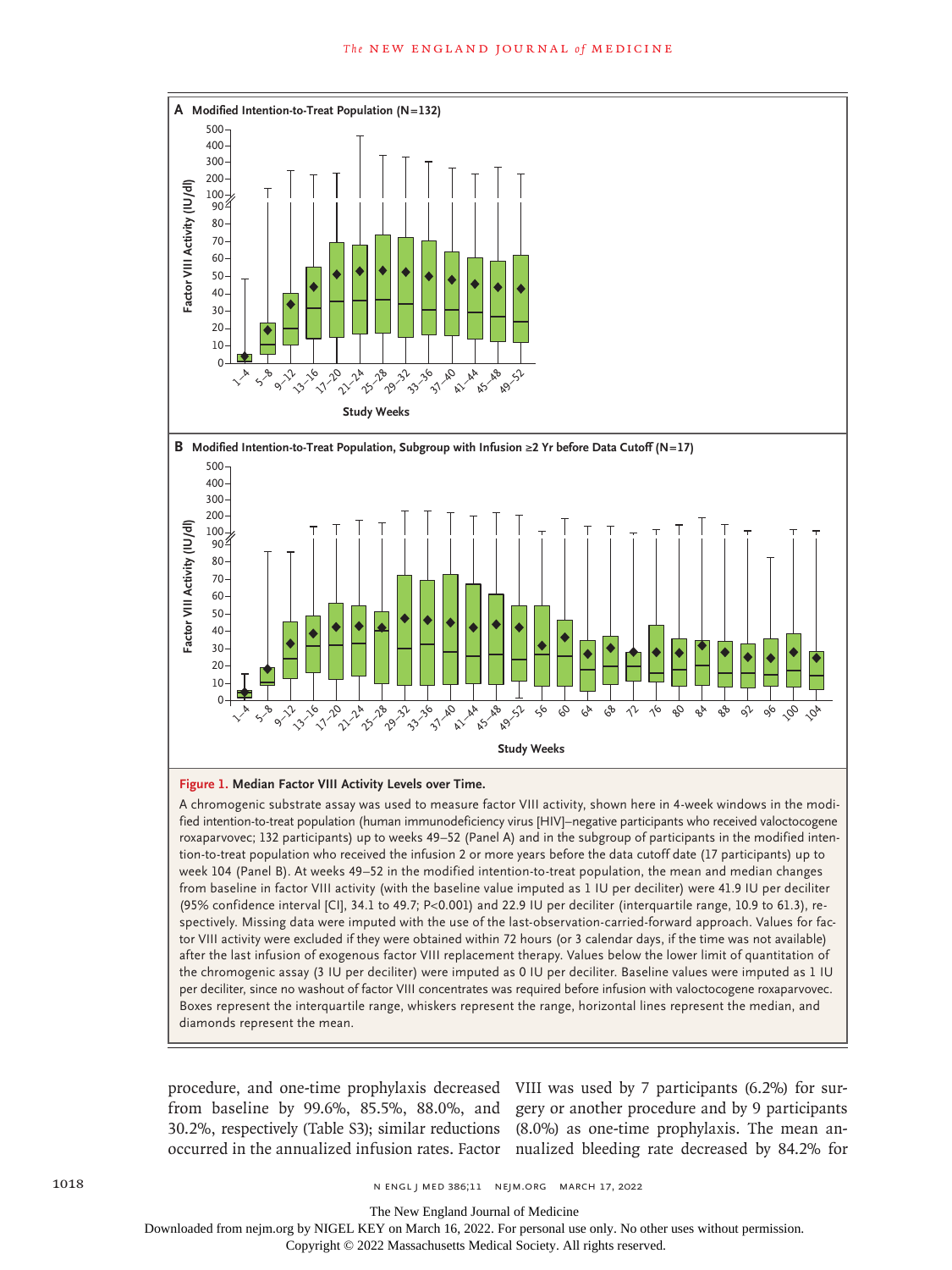

#### **Figure 1. Median Factor VIII Activity Levels over Time.**

A chromogenic substrate assay was used to measure factor VIII activity, shown here in 4-week windows in the modified intention-to-treat population (human immunodeficiency virus [HIV]–negative participants who received valoctocogene roxaparvovec; 132 participants) up to weeks 49–52 (Panel A) and in the subgroup of participants in the modified intention-to-treat population who received the infusion 2 or more years before the data cutoff date (17 participants) up to week 104 (Panel B). At weeks 49–52 in the modified intention-to-treat population, the mean and median changes from baseline in factor VIII activity (with the baseline value imputed as 1 IU per deciliter) were 41.9 IU per deciliter (95% confidence interval [CI], 34.1 to 49.7; P<0.001) and 22.9 IU per deciliter (interquartile range, 10.9 to 61.3), respectively. Missing data were imputed with the use of the last-observation-carried-forward approach. Values for factor VIII activity were excluded if they were obtained within 72 hours (or 3 calendar days, if the time was not available) after the last infusion of exogenous factor VIII replacement therapy. Values below the lower limit of quantitation of the chromogenic assay (3 IU per deciliter) were imputed as 0 IU per deciliter. Baseline values were imputed as 1 IU per deciliter, since no washout of factor VIII concentrates was required before infusion with valoctocogene roxaparvovec. Boxes represent the interquartile range, whiskers represent the range, horizontal lines represent the median, and

from baseline by 99.6%, 85.5%, 88.0%, and gery or another procedure and by 9 participants 30.2%, respectively (Table S3); similar reductions (8.0%) as one-time prophylaxis. The mean anoccurred in the annualized infusion rates. Factor nualized bleeding rate decreased by 84.2% for

procedure, and one-time prophylaxis decreased VIII was used by 7 participants (6.2%) for sur-

1018 **1018** N ENGL | MED 386;11 NEJM.ORG MARCH 17, 2022

The New England Journal of Medicine

Downloaded from nejm.org by NIGEL KEY on March 16, 2022. For personal use only. No other uses without permission.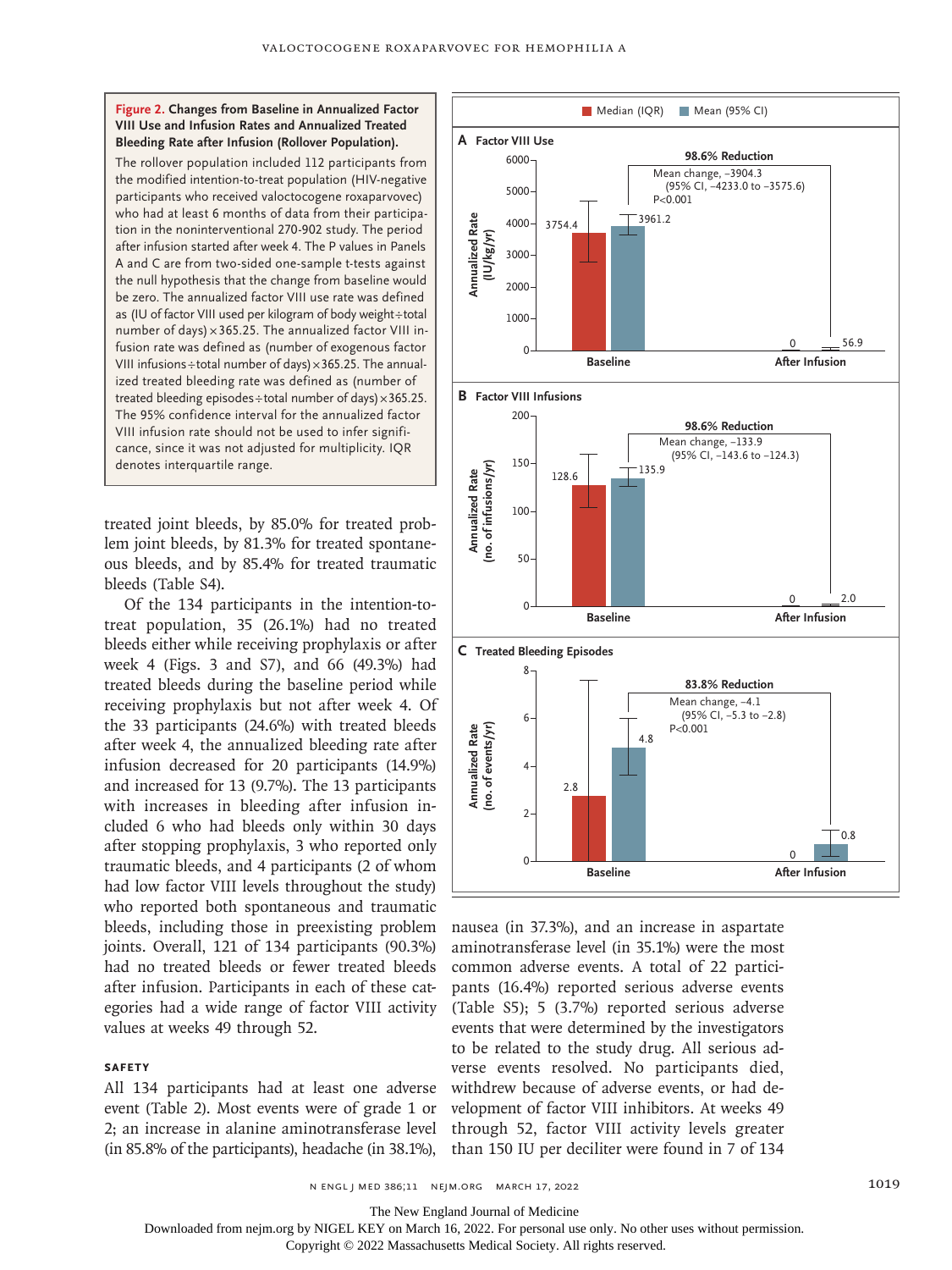#### **Figure 2. Changes from Baseline in Annualized Factor VIII Use and Infusion Rates and Annualized Treated Bleeding Rate after Infusion (Rollover Population).**

The rollover population included 112 participants from the modified intention-to-treat population (HIV-negative participants who received valoctocogene roxaparvovec) who had at least 6 months of data from their participation in the noninterventional 270-902 study. The period after infusion started after week 4. The P values in Panels A and C are from two-sided one-sample t-tests against the null hypothesis that the change from baseline would be zero. The annualized factor VIII use rate was defined as (IU of factor VIII used per kilogram of body weight÷total number of days) $\times$ 365.25. The annualized factor VIII infusion rate was defined as (number of exogenous factor VIII infusions÷total number of days)×365.25. The annualized treated bleeding rate was defined as (number of treated bleeding episodes÷total number of days) $\times$ 365.25. The 95% confidence interval for the annualized factor VIII infusion rate should not be used to infer significance, since it was not adjusted for multiplicity. IQR denotes interquartile range.

treated joint bleeds, by 85.0% for treated problem joint bleeds, by 81.3% for treated spontaneous bleeds, and by 85.4% for treated traumatic bleeds (Table S4).

Of the 134 participants in the intention-totreat population, 35 (26.1%) had no treated bleeds either while receiving prophylaxis or after week 4 (Figs. 3 and S7), and 66 (49.3%) had treated bleeds during the baseline period while receiving prophylaxis but not after week 4. Of the 33 participants (24.6%) with treated bleeds after week 4, the annualized bleeding rate after infusion decreased for 20 participants (14.9%) and increased for 13 (9.7%). The 13 participants with increases in bleeding after infusion included 6 who had bleeds only within 30 days after stopping prophylaxis, 3 who reported only traumatic bleeds, and 4 participants (2 of whom had low factor VIII levels throughout the study) who reported both spontaneous and traumatic bleeds, including those in preexisting problem joints. Overall, 121 of 134 participants (90.3%) had no treated bleeds or fewer treated bleeds after infusion. Participants in each of these categories had a wide range of factor VIII activity values at weeks 49 through 52.

#### **Safety**

All 134 participants had at least one adverse event (Table 2). Most events were of grade 1 or 2; an increase in alanine aminotransferase level (in 85.8% of the participants), headache (in 38.1%),



nausea (in 37.3%), and an increase in aspartate aminotransferase level (in 35.1%) were the most common adverse events. A total of 22 participants (16.4%) reported serious adverse events (Table S5); 5 (3.7%) reported serious adverse events that were determined by the investigators to be related to the study drug. All serious adverse events resolved. No participants died, withdrew because of adverse events, or had development of factor VIII inhibitors. At weeks 49 through 52, factor VIII activity levels greater than 150 IU per deciliter were found in 7 of 134

The New England Journal of Medicine

Downloaded from nejm.org by NIGEL KEY on March 16, 2022. For personal use only. No other uses without permission.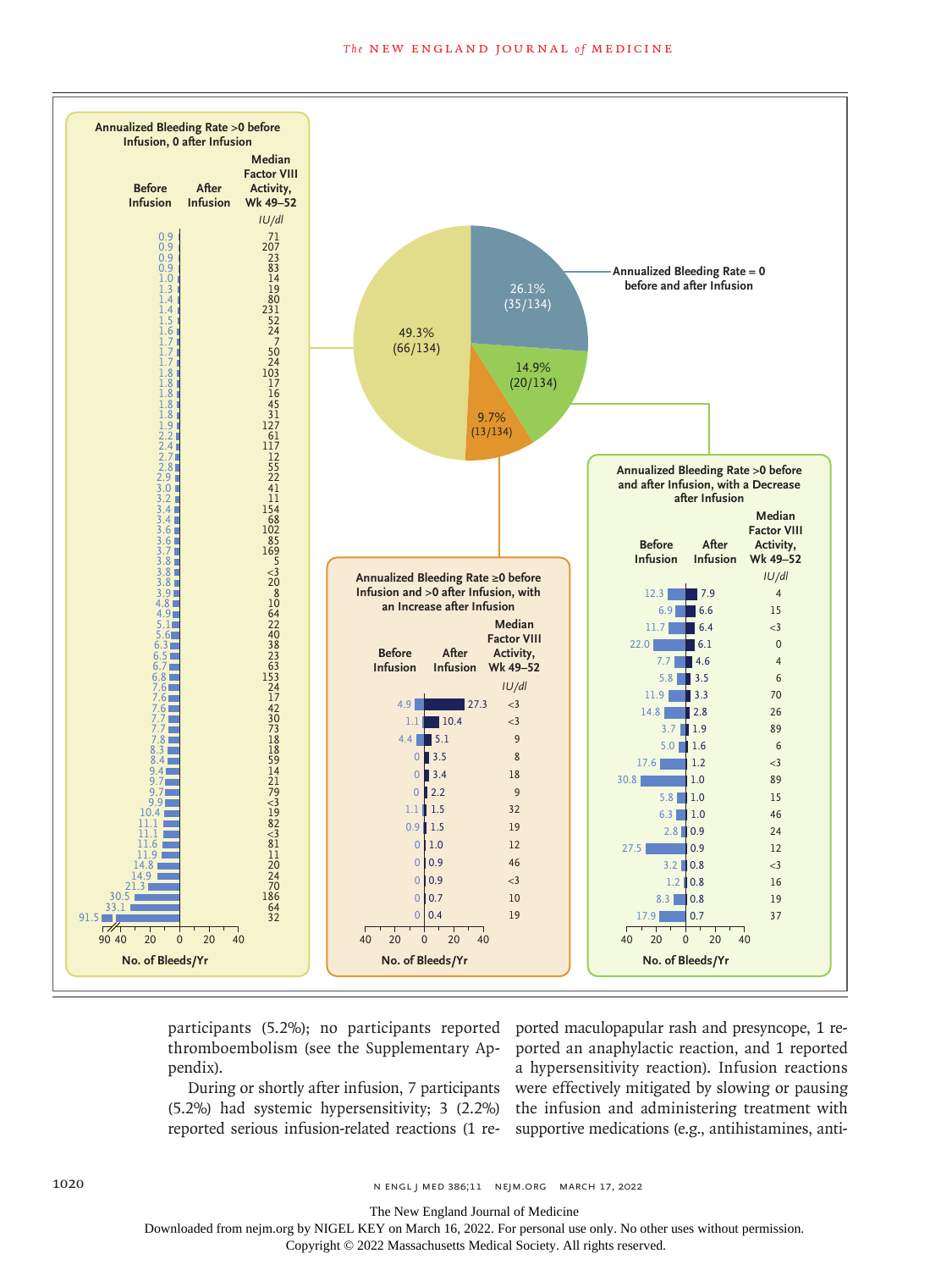

participants (5.2%); no participants reported thromboembolism (see the Supplementary Appendix).

During or shortly after infusion, 7 participants (5.2%) had systemic hypersensitivity; 3 (2.2%) reported serious infusion-related reactions (1 re-

ported maculopapular rash and presyncope, 1 reported an anaphylactic reaction, and 1 reported a hypersensitivity reaction). Infusion reactions were effectively mitigated by slowing or pausing the infusion and administering treatment with supportive medications (e.g., antihistamines, anti-

The New England Journal of Medicine

Downloaded from nejm.org by NIGEL KEY on March 16, 2022. For personal use only. No other uses without permission.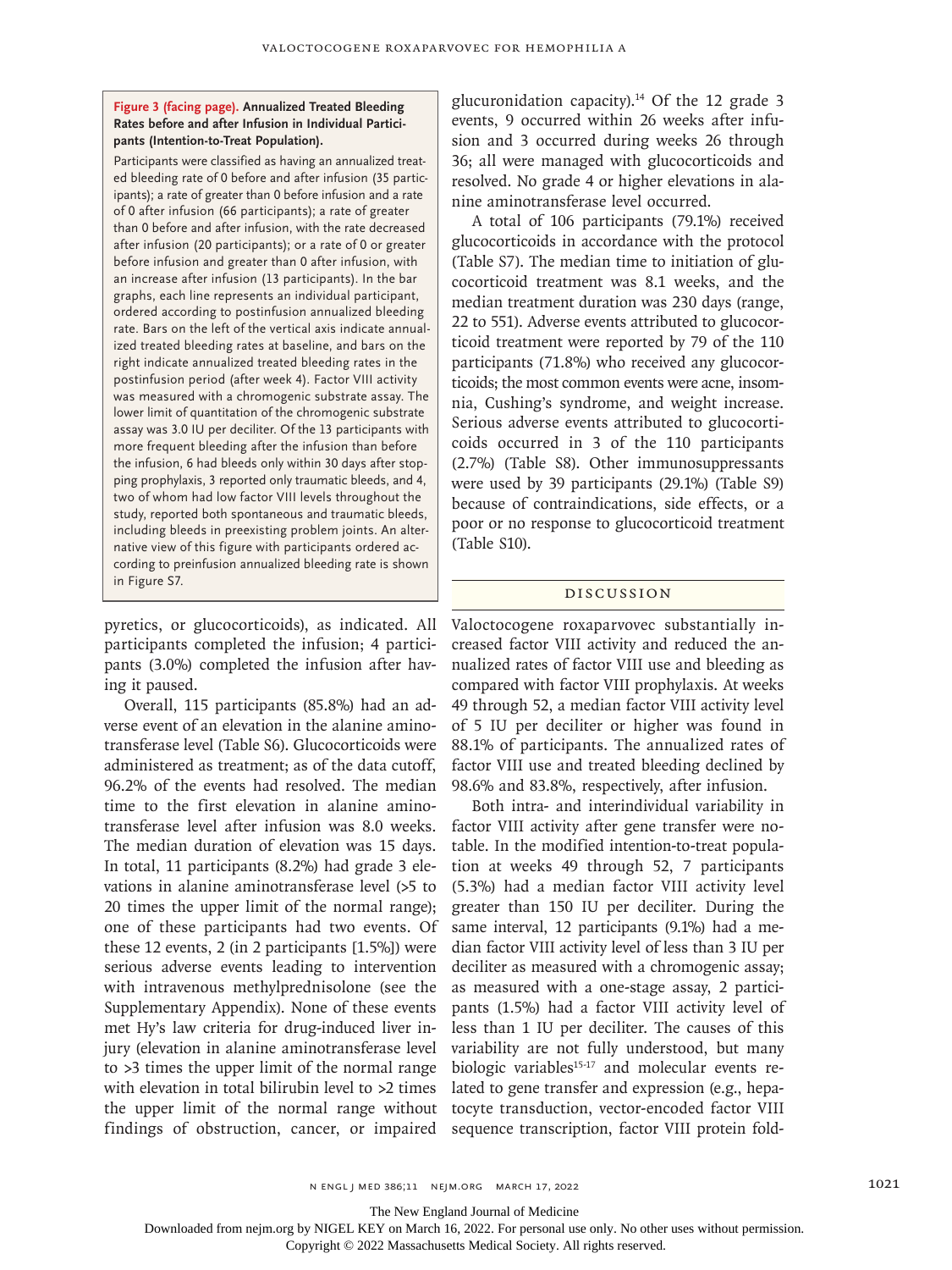#### **Figure 3 (facing page). Annualized Treated Bleeding Rates before and after Infusion in Individual Participants (Intention-to-Treat Population).**

Participants were classified as having an annualized treated bleeding rate of 0 before and after infusion (35 participants); a rate of greater than 0 before infusion and a rate of 0 after infusion (66 participants); a rate of greater than 0 before and after infusion, with the rate decreased after infusion (20 participants); or a rate of 0 or greater before infusion and greater than 0 after infusion, with an increase after infusion (13 participants). In the bar graphs, each line represents an individual participant, ordered according to postinfusion annualized bleeding rate. Bars on the left of the vertical axis indicate annualized treated bleeding rates at baseline, and bars on the right indicate annualized treated bleeding rates in the postinfusion period (after week 4). Factor VIII activity was measured with a chromogenic substrate assay. The lower limit of quantitation of the chromogenic substrate assay was 3.0 IU per deciliter. Of the 13 participants with more frequent bleeding after the infusion than before the infusion, 6 had bleeds only within 30 days after stopping prophylaxis, 3 reported only traumatic bleeds, and 4, two of whom had low factor VIII levels throughout the study, reported both spontaneous and traumatic bleeds, including bleeds in preexisting problem joints. An alternative view of this figure with participants ordered according to preinfusion annualized bleeding rate is shown in Figure S7.

pyretics, or glucocorticoids), as indicated. All participants completed the infusion; 4 participants (3.0%) completed the infusion after having it paused.

Overall, 115 participants (85.8%) had an adverse event of an elevation in the alanine aminotransferase level (Table S6). Glucocorticoids were administered as treatment; as of the data cutoff, 96.2% of the events had resolved. The median time to the first elevation in alanine aminotransferase level after infusion was 8.0 weeks. The median duration of elevation was 15 days. In total, 11 participants (8.2%) had grade 3 elevations in alanine aminotransferase level (>5 to 20 times the upper limit of the normal range); one of these participants had two events. Of these 12 events, 2 (in 2 participants [1.5%]) were serious adverse events leading to intervention with intravenous methylprednisolone (see the Supplementary Appendix). None of these events met Hy's law criteria for drug-induced liver injury (elevation in alanine aminotransferase level to >3 times the upper limit of the normal range with elevation in total bilirubin level to >2 times the upper limit of the normal range without findings of obstruction, cancer, or impaired glucuronidation capacity). $14$  Of the 12 grade 3 events, 9 occurred within 26 weeks after infusion and 3 occurred during weeks 26 through 36; all were managed with glucocorticoids and resolved. No grade 4 or higher elevations in alanine aminotransferase level occurred.

A total of 106 participants (79.1%) received glucocorticoids in accordance with the protocol (Table S7). The median time to initiation of glucocorticoid treatment was 8.1 weeks, and the median treatment duration was 230 days (range, 22 to 551). Adverse events attributed to glucocorticoid treatment were reported by 79 of the 110 participants (71.8%) who received any glucocorticoids; the most common events were acne, insomnia, Cushing's syndrome, and weight increase. Serious adverse events attributed to glucocorticoids occurred in 3 of the 110 participants (2.7%) (Table S8). Other immunosuppressants were used by 39 participants (29.1%) (Table S9) because of contraindications, side effects, or a poor or no response to glucocorticoid treatment (Table S10).

### Discussion

Valoctocogene roxaparvovec substantially increased factor VIII activity and reduced the annualized rates of factor VIII use and bleeding as compared with factor VIII prophylaxis. At weeks 49 through 52, a median factor VIII activity level of 5 IU per deciliter or higher was found in 88.1% of participants. The annualized rates of factor VIII use and treated bleeding declined by 98.6% and 83.8%, respectively, after infusion.

Both intra- and interindividual variability in factor VIII activity after gene transfer were notable. In the modified intention-to-treat population at weeks 49 through 52, 7 participants (5.3%) had a median factor VIII activity level greater than 150 IU per deciliter. During the same interval, 12 participants (9.1%) had a median factor VIII activity level of less than 3 IU per deciliter as measured with a chromogenic assay; as measured with a one-stage assay, 2 participants (1.5%) had a factor VIII activity level of less than 1 IU per deciliter. The causes of this variability are not fully understood, but many biologic variables<sup>15-17</sup> and molecular events related to gene transfer and expression (e.g., hepatocyte transduction, vector-encoded factor VIII sequence transcription, factor VIII protein fold-

The New England Journal of Medicine

Downloaded from nejm.org by NIGEL KEY on March 16, 2022. For personal use only. No other uses without permission.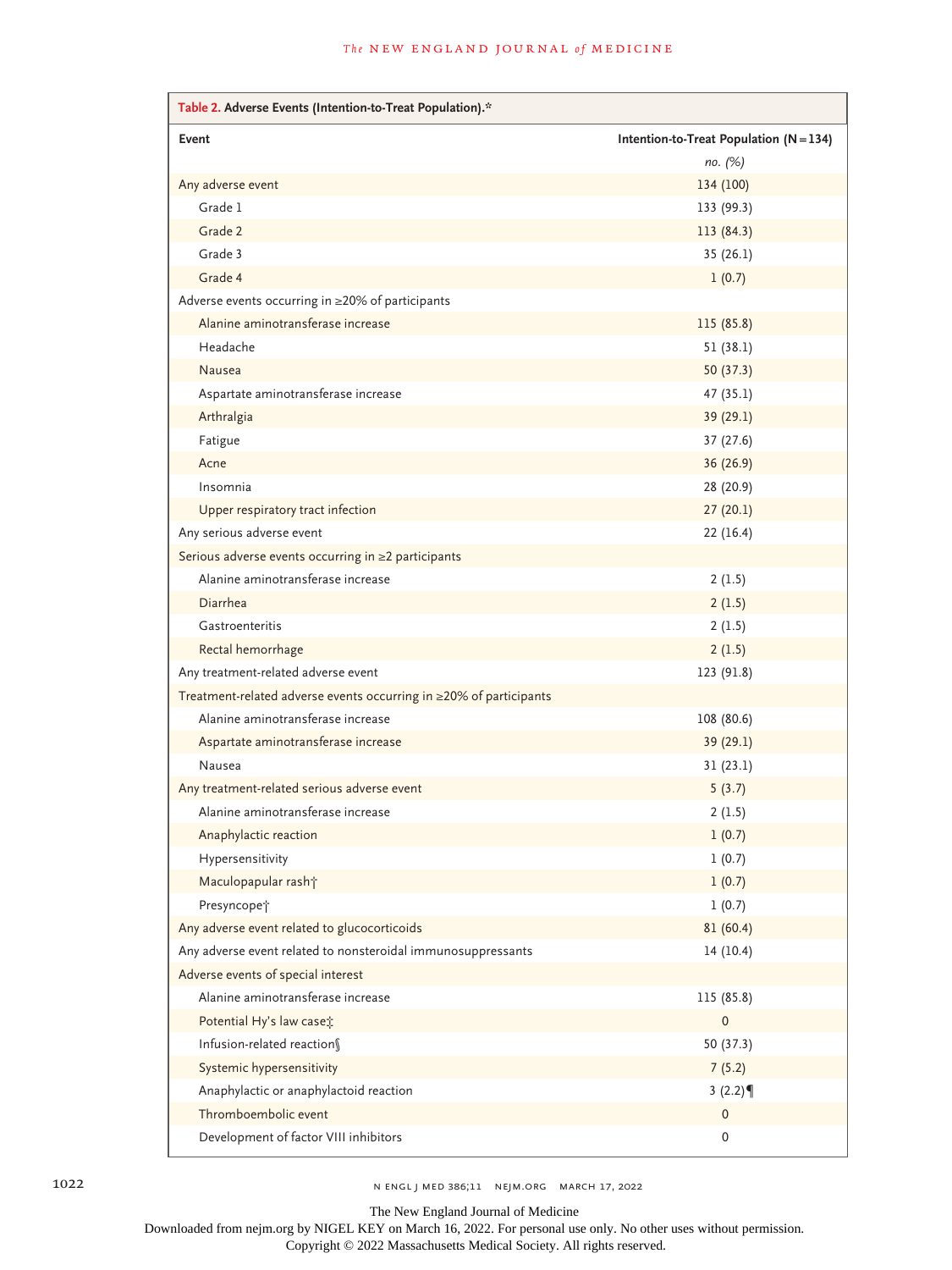| Table 2. Adverse Events (Intention-to-Treat Population).*          |                                         |
|--------------------------------------------------------------------|-----------------------------------------|
| Event                                                              | Intention-to-Treat Population $(N=134)$ |
|                                                                    | no. (%)                                 |
| Any adverse event                                                  | 134 (100)                               |
| Grade 1                                                            | 133 (99.3)                              |
| Grade 2                                                            | 113 (84.3)                              |
| Grade 3                                                            | 35 (26.1)                               |
| Grade 4                                                            | 1(0.7)                                  |
| Adverse events occurring in ≥20% of participants                   |                                         |
| Alanine aminotransferase increase                                  | 115 (85.8)                              |
| Headache                                                           | 51(38.1)                                |
| <b>Nausea</b>                                                      | 50 (37.3)                               |
| Aspartate aminotransferase increase                                | 47 (35.1)                               |
| Arthralgia                                                         | 39 (29.1)                               |
| Fatigue                                                            | 37 (27.6)                               |
| Acne                                                               | 36 (26.9)                               |
| Insomnia                                                           | 28 (20.9)                               |
| Upper respiratory tract infection                                  | 27(20.1)                                |
| Any serious adverse event                                          | 22(16.4)                                |
| Serious adverse events occurring in ≥2 participants                |                                         |
| Alanine aminotransferase increase                                  | 2(1.5)                                  |
| Diarrhea                                                           | 2(1.5)                                  |
| Gastroenteritis                                                    | 2(1.5)                                  |
| Rectal hemorrhage                                                  | 2(1.5)                                  |
| Any treatment-related adverse event                                | 123 (91.8)                              |
| Treatment-related adverse events occurring in ≥20% of participants |                                         |
| Alanine aminotransferase increase                                  | 108 (80.6)                              |
| Aspartate aminotransferase increase                                | 39 (29.1)                               |
| Nausea                                                             | 31(23.1)                                |
| Any treatment-related serious adverse event                        | 5(3.7)                                  |
| Alanine aminotransferase increase                                  | 2(1.5)                                  |
| Anaphylactic reaction                                              | 1(0.7)                                  |
| Hypersensitivity                                                   | 1(0.7)                                  |
| Maculopapular rash <sup>+</sup>                                    | 1(0.7)                                  |
| Presyncope <sup>+</sup>                                            | 1(0.7)                                  |
| Any adverse event related to glucocorticoids                       | 81(60.4)                                |
| Any adverse event related to nonsteroidal immunosuppressants       | 14 (10.4)                               |
| Adverse events of special interest                                 |                                         |
| Alanine aminotransferase increase                                  | 115 (85.8)                              |
| Potential Hy's law case:                                           | $\mathbf 0$                             |
| Infusion-related reaction§                                         | 50 (37.3)                               |
| Systemic hypersensitivity                                          | 7(5.2)                                  |
| Anaphylactic or anaphylactoid reaction                             | 3 $(2.2)$                               |
| Thromboembolic event                                               | 0                                       |
| Development of factor VIII inhibitors                              | 0                                       |

1022 N ENGL J MED 386;11 NEJM.ORG MARCH 17, 2022

The New England Journal of Medicine

Downloaded from nejm.org by NIGEL KEY on March 16, 2022. For personal use only. No other uses without permission.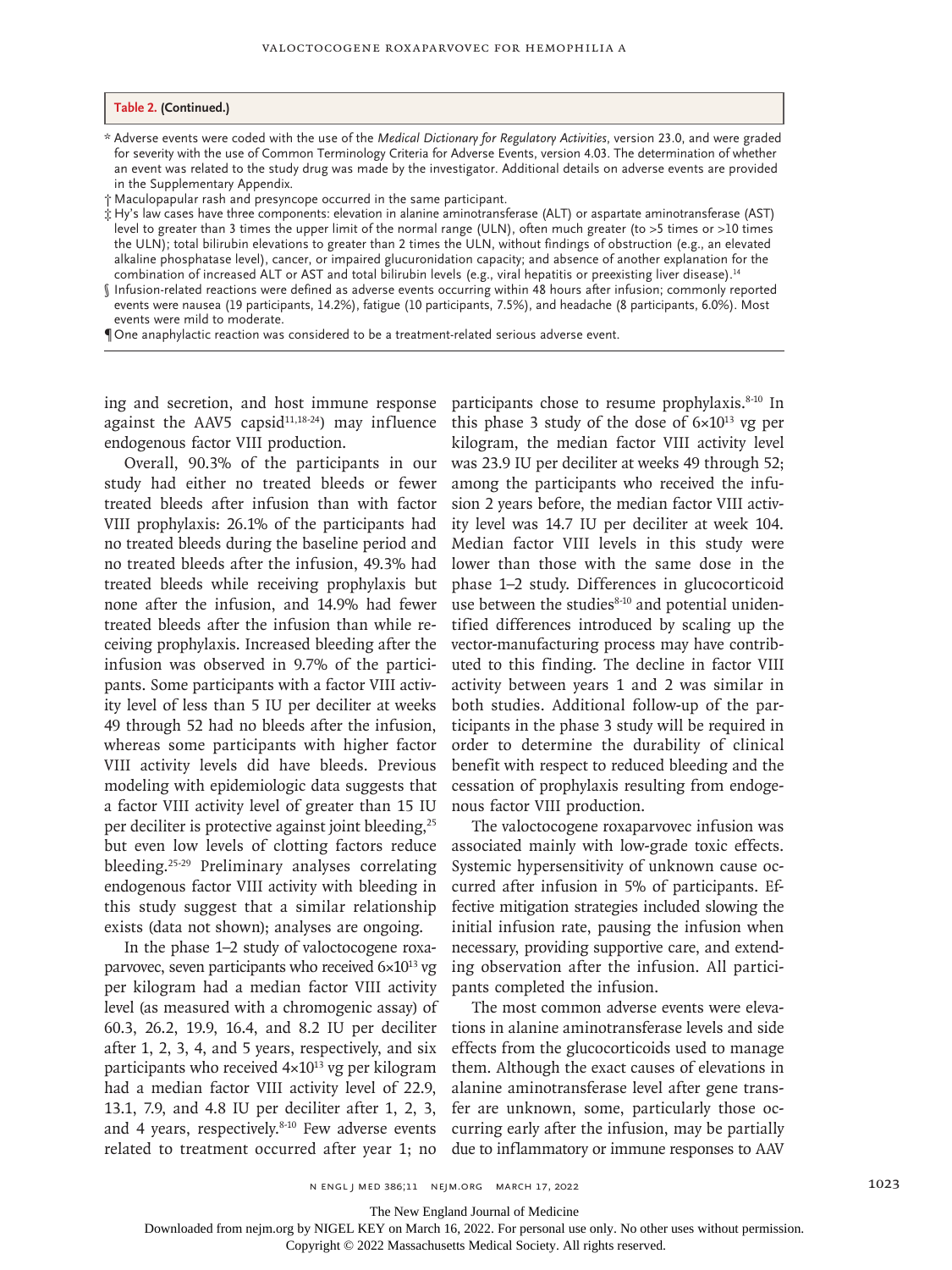| Table 2. (Continued.) |  |
|-----------------------|--|
|-----------------------|--|

\* Adverse events were coded with the use of the *Medical Dictionary for Regulatory Activities*, version 23.0, and were graded for severity with the use of Common Terminology Criteria for Adverse Events, version 4.03. The determination of whether an event was related to the study drug was made by the investigator. Additional details on adverse events are provided in the Supplementary Appendix.

† Maculopapular rash and presyncope occurred in the same participant.

- ‡ Hy's law cases have three components: elevation in alanine aminotransferase (ALT) or aspartate aminotransferase (AST) level to greater than 3 times the upper limit of the normal range (ULN), often much greater (to >5 times or >10 times the ULN); total bilirubin elevations to greater than 2 times the ULN, without findings of obstruction (e.g., an elevated alkaline phosphatase level), cancer, or impaired glucuronidation capacity; and absence of another explanation for the combination of increased ALT or AST and total bilirubin levels (e.g., viral hepatitis or preexisting liver disease).<sup>14</sup>
- § Infusion-related reactions were defined as adverse events occurring within 48 hours after infusion; commonly reported events were nausea (19 participants, 14.2%), fatigue (10 participants, 7.5%), and headache (8 participants, 6.0%). Most events were mild to moderate.

¶ One anaphylactic reaction was considered to be a treatment-related serious adverse event.

ing and secretion, and host immune response against the AAV5 capsid $11,18-24$ ) may influence endogenous factor VIII production.

Overall, 90.3% of the participants in our study had either no treated bleeds or fewer treated bleeds after infusion than with factor VIII prophylaxis: 26.1% of the participants had no treated bleeds during the baseline period and no treated bleeds after the infusion, 49.3% had treated bleeds while receiving prophylaxis but none after the infusion, and 14.9% had fewer treated bleeds after the infusion than while receiving prophylaxis. Increased bleeding after the infusion was observed in 9.7% of the participants. Some participants with a factor VIII activity level of less than 5 IU per deciliter at weeks 49 through 52 had no bleeds after the infusion, whereas some participants with higher factor VIII activity levels did have bleeds. Previous modeling with epidemiologic data suggests that a factor VIII activity level of greater than 15 IU per deciliter is protective against joint bleeding,25 but even low levels of clotting factors reduce bleeding.25-29 Preliminary analyses correlating endogenous factor VIII activity with bleeding in this study suggest that a similar relationship exists (data not shown); analyses are ongoing.

In the phase 1–2 study of valoctocogene roxaparvovec, seven participants who received  $6\times10^{13}$  vg per kilogram had a median factor VIII activity level (as measured with a chromogenic assay) of 60.3, 26.2, 19.9, 16.4, and 8.2 IU per deciliter after 1, 2, 3, 4, and 5 years, respectively, and six participants who received  $4\times10^{13}$  vg per kilogram had a median factor VIII activity level of 22.9, 13.1, 7.9, and 4.8 IU per deciliter after 1, 2, 3, and 4 years, respectively.<sup>8-10</sup> Few adverse events related to treatment occurred after year 1; no

participants chose to resume prophylaxis.<sup>8-10</sup> In this phase 3 study of the dose of  $6\times10^{13}$  vg per kilogram, the median factor VIII activity level was 23.9 IU per deciliter at weeks 49 through 52; among the participants who received the infusion 2 years before, the median factor VIII activity level was 14.7 IU per deciliter at week 104. Median factor VIII levels in this study were lower than those with the same dose in the phase 1–2 study. Differences in glucocorticoid use between the studies<sup>8-10</sup> and potential unidentified differences introduced by scaling up the vector-manufacturing process may have contributed to this finding. The decline in factor VIII activity between years 1 and 2 was similar in both studies. Additional follow-up of the participants in the phase 3 study will be required in order to determine the durability of clinical benefit with respect to reduced bleeding and the cessation of prophylaxis resulting from endogenous factor VIII production.

The valoctocogene roxaparvovec infusion was associated mainly with low-grade toxic effects. Systemic hypersensitivity of unknown cause occurred after infusion in 5% of participants. Effective mitigation strategies included slowing the initial infusion rate, pausing the infusion when necessary, providing supportive care, and extending observation after the infusion. All participants completed the infusion.

The most common adverse events were elevations in alanine aminotransferase levels and side effects from the glucocorticoids used to manage them. Although the exact causes of elevations in alanine aminotransferase level after gene transfer are unknown, some, particularly those occurring early after the infusion, may be partially due to inflammatory or immune responses to AAV

The New England Journal of Medicine

Downloaded from nejm.org by NIGEL KEY on March 16, 2022. For personal use only. No other uses without permission.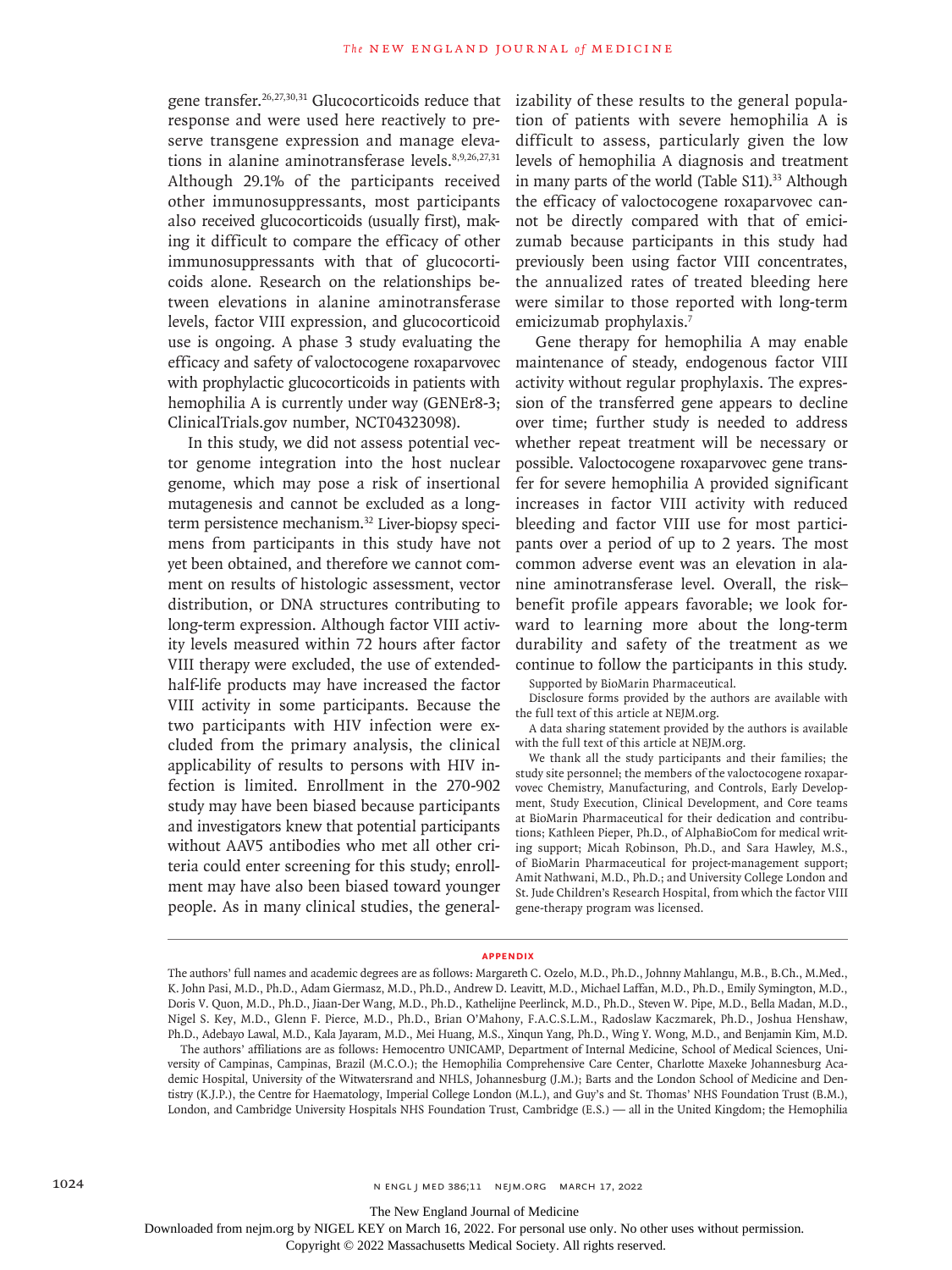response and were used here reactively to preserve transgene expression and manage elevations in alanine aminotransferase levels.<sup>8,9,26,27,31</sup> Although 29.1% of the participants received other immunosuppressants, most participants also received glucocorticoids (usually first), making it difficult to compare the efficacy of other immunosuppressants with that of glucocorticoids alone. Research on the relationships between elevations in alanine aminotransferase levels, factor VIII expression, and glucocorticoid use is ongoing. A phase 3 study evaluating the efficacy and safety of valoctocogene roxaparvovec with prophylactic glucocorticoids in patients with hemophilia A is currently under way (GENEr8-3; ClinicalTrials.gov number, NCT04323098).

In this study, we did not assess potential vector genome integration into the host nuclear genome, which may pose a risk of insertional mutagenesis and cannot be excluded as a longterm persistence mechanism.32 Liver-biopsy specimens from participants in this study have not yet been obtained, and therefore we cannot comment on results of histologic assessment, vector distribution, or DNA structures contributing to long-term expression. Although factor VIII activity levels measured within 72 hours after factor VIII therapy were excluded, the use of extendedhalf-life products may have increased the factor VIII activity in some participants. Because the two participants with HIV infection were excluded from the primary analysis, the clinical applicability of results to persons with HIV infection is limited. Enrollment in the 270-902 study may have been biased because participants and investigators knew that potential participants without AAV5 antibodies who met all other criteria could enter screening for this study; enrollment may have also been biased toward younger people. As in many clinical studies, the general-

gene transfer.<sup>26,27,30,31</sup> Glucocorticoids reduce that izability of these results to the general population of patients with severe hemophilia A is difficult to assess, particularly given the low levels of hemophilia A diagnosis and treatment in many parts of the world (Table  $S11$ ).<sup>33</sup> Although the efficacy of valoctocogene roxaparvovec cannot be directly compared with that of emicizumab because participants in this study had previously been using factor VIII concentrates, the annualized rates of treated bleeding here were similar to those reported with long-term emicizumab prophylaxis.<sup>7</sup>

> Gene therapy for hemophilia A may enable maintenance of steady, endogenous factor VIII activity without regular prophylaxis. The expression of the transferred gene appears to decline over time; further study is needed to address whether repeat treatment will be necessary or possible. Valoctocogene roxaparvovec gene transfer for severe hemophilia A provided significant increases in factor VIII activity with reduced bleeding and factor VIII use for most participants over a period of up to 2 years. The most common adverse event was an elevation in alanine aminotransferase level. Overall, the risk– benefit profile appears favorable; we look forward to learning more about the long-term durability and safety of the treatment as we continue to follow the participants in this study. Supported by BioMarin Pharmaceutical.

> Disclosure forms provided by the authors are available with the full text of this article at NEJM.org.

> A data sharing statement provided by the authors is available with the full text of this article at NEJM.org.

> We thank all the study participants and their families; the study site personnel; the members of the valoctocogene roxaparvovec Chemistry, Manufacturing, and Controls, Early Development, Study Execution, Clinical Development, and Core teams at BioMarin Pharmaceutical for their dedication and contributions; Kathleen Pieper, Ph.D., of AlphaBioCom for medical writing support; Micah Robinson, Ph.D., and Sara Hawley, M.S., of BioMarin Pharmaceutical for project-management support; Amit Nathwani, M.D., Ph.D.; and University College London and St. Jude Children's Research Hospital, from which the factor VIII gene-therapy program was licensed.

#### **Appendix**

The New England Journal of Medicine

Downloaded from nejm.org by NIGEL KEY on March 16, 2022. For personal use only. No other uses without permission.

The authors' full names and academic degrees are as follows: Margareth C. Ozelo, M.D., Ph.D., Johnny Mahlangu, M.B., B.Ch., M.Med., K. John Pasi, M.D., Ph.D., Adam Giermasz, M.D., Ph.D., Andrew D. Leavitt, M.D., Michael Laffan, M.D., Ph.D., Emily Symington, M.D., Doris V. Quon, M.D., Ph.D., Jiaan-Der Wang, M.D., Ph.D., Kathelijne Peerlinck, M.D., Ph.D., Steven W. Pipe, M.D., Bella Madan, M.D., Nigel S. Key, M.D., Glenn F. Pierce, M.D., Ph.D., Brian O'Mahony, F.A.C.S.L.M., Radoslaw Kaczmarek, Ph.D., Joshua Henshaw, Ph.D., Adebayo Lawal, M.D., Kala Jayaram, M.D., Mei Huang, M.S., Xinqun Yang, Ph.D., Wing Y. Wong, M.D., and Benjamin Kim, M.D.

The authors' affiliations are as follows: Hemocentro UNICAMP, Department of Internal Medicine, School of Medical Sciences, University of Campinas, Campinas, Brazil (M.C.O.); the Hemophilia Comprehensive Care Center, Charlotte Maxeke Johannesburg Academic Hospital, University of the Witwatersrand and NHLS, Johannesburg (J.M.); Barts and the London School of Medicine and Dentistry (K.J.P.), the Centre for Haematology, Imperial College London (M.L.), and Guy's and St. Thomas' NHS Foundation Trust (B.M.), London, and Cambridge University Hospitals NHS Foundation Trust, Cambridge (E.S.) — all in the United Kingdom; the Hemophilia